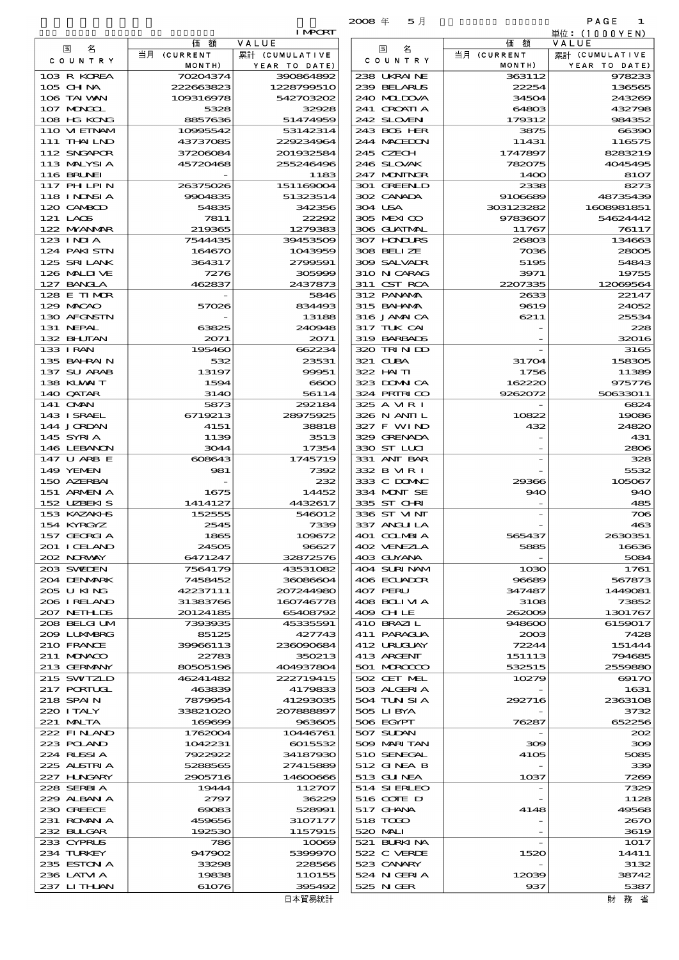|                             |                       |                                 | 5月<br>$2008 \text{ } \#$   |                       | PAGE<br>-1                      |
|-----------------------------|-----------------------|---------------------------------|----------------------------|-----------------------|---------------------------------|
|                             |                       | <b>I MPORT</b>                  |                            |                       | 単位:(1000YEN)                    |
| 名<br>国                      | 価<br>額<br>当月 (CURRENT | VALUE                           | 名<br>国                     | 額<br>価                | VALUE                           |
| C O U N T R Y               | MONTH)                | 累計 (CUMULATIVE<br>YEAR TO DATE) | C O U N T R Y              | 当月 (CURRENT<br>MONTH) | 累計 (CUMULATIVE<br>YEAR TO DATE) |
| 103 R KOREA                 | 70204374              | 390864892                       | 238 UKRAINE                | 363112                | 978233                          |
| 105 CH NA                   | 222663823             | 1228799510                      | 239 BELARUS                | 22254                 | 136565                          |
| 106 TAI WAN                 | 109316978             | 542703202                       | 240 MIDOVA                 | 34504                 | 243269                          |
| 107 MAGOL                   | 5328                  | 32928                           | 241 GROATIA                | 64803                 | 432798                          |
| 108 HG KONG<br>110 VIEINAM  | 8857636<br>10995542   | 51474959<br>53142314            | 242 SLOVEN<br>243 BOS HER  | 179312<br>3875        | 984352<br>66390                 |
| 111 THAILND                 | 43737085              | 229234964                       | 244 MACEDON                | 11431                 | 116575                          |
| 112 SNGAPOR                 | 37206084              | 201932584                       | 245 CZECH                  | 1747897               | 8283219                         |
| 113 MALYSIA                 | 45720468              | 255246496                       | 246 SLOVAK                 | 782075                | 4045495                         |
| 116 BRUNEI                  |                       | 1183                            | 247 MONINGR                | 1400                  | 81O7                            |
| 117 PHLPIN                  | 26375026              | 151169004                       | 301 GREENLD                | 2338                  | 8273                            |
| 118 I NNSI A                | 9904835               | 51323514<br>342356              | 302 CANADA<br>304 USA      | 9106689               | 48735439                        |
| 120 CAMBOD<br>121 LAOS      | 54835<br>7811         | 22292                           | 305 MEXICO                 | 303123282<br>9783607  | 1608981851<br>54624442          |
| 122 MYANMAR                 | 219365                | 1279383                         | 306 GUATMAL                | 11767                 | 76117                           |
| $123$ INIA                  | 7544435               | 39453509                        | 307 HNURS                  | 26803                 | 134663                          |
| 124 PAKISIN                 | 164670                | 1043959                         | 308 BELIZE                 | 7036                  | 28005                           |
| 125 SRILANK                 | 364317                | 2799591                         | 309 SALVADR                | 5195                  | 54843                           |
| 126 MALINE                  | 7276                  | 305999                          | 310 N CARAG                | 3971                  | 19755                           |
| 127 BANCLA                  | 462837                | 2437873                         | 311 CST RCA                | 2207335               | 12069564                        |
| 128 E TIMOR<br>129 MACAO    | 57026                 | 5846<br>834493                  | 312 PANAMA<br>315 BAHAMA   | 2633<br>9619          | 22147<br>24052                  |
| 130 AFGNSTN                 |                       | 13188                           | 316 JAMAICA                | 6211                  | 25534                           |
| 131 NEPAL                   | 63825                 | 240948                          | 317 TUK CAI                |                       | 228                             |
| 132 BHUTAN                  | 2071                  | 2071                            | 319 BARBADS                |                       | 32016                           |
| 133 I RAN                   | 195460                | 662234                          | 320 TRIND                  |                       | 3165                            |
| 135 BAHRAIN                 | 532                   | 23531                           | 321 CUBA                   | 31704                 | 158305                          |
| 137 SU ARAB                 | 13197                 | 99951                           | 322 HAITI                  | 1756                  | 11389                           |
| 138 KUWAIT                  | 1594                  | $\infty$                        | 323 DOWN CA                | 162220                | 975776                          |
| 140 QATAR<br>141 <b>OMN</b> | 3140<br>5873          | 56114<br>292184                 | 324 PRIRICO<br>325 A MR I  | 9262072               | 50633011<br>6824                |
| 143 ISRAEL                  | 6719213               | 28975925                        | 326 N ANII L               | 10822                 | 19086                           |
| 144 JORDAN                  | 4151                  | 38818                           | 327 F WIND                 | 432                   | 24820                           |
| 145 SYRIA                   | 1139                  | 3513                            | 329 GRENADA                |                       | 431                             |
| 146 LEBANON                 | 3044                  | 17354                           | 330 ST LUI                 |                       | 2806                            |
| 147 U ARB E                 | 608643                | 1745719                         | 331 ANT BAR                |                       | 328                             |
| 149 YEMEN                   | 981                   | 7392                            | 332 B MR I                 |                       | 5532                            |
| 150 AZERBAI<br>151 ARMENIA  | 1675                  | 232<br>14452                    | 333 C DOMIC<br>334 MONT SE | 29366<br>940          | 105067<br>940                   |
| 152 UZBEKIS                 | 1414127               | 4432617                         | 335 ST CHRI                |                       | 485                             |
| 153 KAZAKI S                | 152555                | 546012                          | 336 ST MNT                 |                       | 706                             |
| 154 KYRGYZ                  | 2545                  | 7339                            | 337 ANGLILA                |                       | 463                             |
| 157 GEORGIA                 | 1865                  | 109672                          | 401 COLMBIA                | 565437                | 2630351                         |
| 201 ICELAND                 | 24505                 | 96627                           | 402 VENEZIA                | 5885                  | 16636                           |
| 202 NORWAY                  | 6471247               | 32872576                        | 403 GUYANA                 |                       | 5084                            |
| 203 SWIDEN<br>204 DENMARK   | 7564179<br>7458452    | 43531082<br>36086604            | 404 SURINAM<br>406 ECUADOR | 1030<br>96689         | 1761<br>567873                  |
| 205 U KING                  | 42237111              | 207244980                       | 407 PERU                   | 347487                | 1449081                         |
| 206 I RELAND                | 31383766              | 160746778                       | 408 BOLIVIA                | 3108                  | 73852                           |
| 207 NETH LIS                | 20124185              | 65408792                        | 409 CHLE                   | 262009                | 1301767                         |
| 208 BELGI UM                | 7393935               | 45335591                        | 410 BRAZIL                 | 948600                | 6159017                         |
| 2009 LUXWERG                | 85125                 | 427743                          | 411 PARAGUA                | 2003                  | 7428                            |
| 210 FRANCE                  | 39966113              | 236090684                       | 412 URUCUAY                | 72244                 | 151444                          |
| 211 MONACO<br>213 GERMANY   | 22783<br>80505196     | 350213<br>404937804             | 413 ARGENT<br>501 MROCCO   | 151113<br>532515      | 794685<br>2559880               |
| 215 SWIZLD                  | 46241482              | 222719415                       | 502 CET MEL                | 10279                 | 69170                           |
| 217 PORTUGL                 | 463839                | 4179833                         | 503 ALGERIA                |                       | 1631                            |
| 218 SPAIN                   | 7879954               | 41293035                        | 504 TUN SI A               | 292716                | 2363108                         |
| 220 I TALY                  | 33821020              | 207888897                       | 505 LIBYA                  |                       | 3732                            |
| 221 MALTA                   | 169699                | 963605                          | 506 EGYPT                  | 76287                 | 652256                          |
| 222 FINAND                  | 1762004               | 10446761                        | 507 SUDAN                  |                       | 202                             |
| 223 POLAND                  | 1042231               | 6015532                         | 509 MARITAN                | 300                   | 300                             |
| 224 RUSSI A<br>225 ALSTRIA  | 7922922<br>5288565    | 34187930<br>27415889            | 510 SENEGAL<br>512 GINEA B | 4105                  | 5085<br>339                     |
| 227 H.NGARY                 | 2905716               | 14600666                        | 513 GUNEA                  | $10$ 37               | 7269                            |
| 228 SERBIA                  | 19444                 | 112707                          | 514 SIERLEO                |                       | 7329                            |
| 229 ALBAN A                 | 2797                  | 36229                           | 516 COTE D                 |                       | 1128                            |
| 230 GREECE                  | 69083                 | 528991                          | 517 GHNA                   | 4148                  | 49568                           |
| 231 ROMANIA                 | 459656                | 3107177                         | 518 TODO                   |                       | 2670                            |
| 232 BULGAR                  | 192530                | 1157915                         | 520 MAI I                  |                       | 3619                            |
| 233 CYPRUS                  | 786                   | 10069                           | 521 BURKINA                |                       | 1017                            |
| 234 TURKEY<br>235 ESTON A   | 947902<br>33298       | 5399970<br>228566               | 522 C VERDE<br>523 CANARY  | 1520                  | 14411<br>3132                   |
| 236 LATVI A                 | 19838                 | 110155                          | 524 N GERIA                | 12039                 | 38742                           |

|                             |                      | <b>I MPORT</b>             |                            |                      | 単位:(1000YEN)           |
|-----------------------------|----------------------|----------------------------|----------------------------|----------------------|------------------------|
| 国<br>名                      | 額<br>価               | VALUE                      | 名<br>国                     | 価額                   | VALUE                  |
| COUNTRY                     | 当月 (CURRENT          | 累計 (CUMULATIVE             | C O U N T R Y              | 当月 (CURRENT          | 累計 (CUMULATIVE         |
| 103 R KOREA                 | MONTH)<br>70204374   | YEAR TO DATE)<br>390864892 | 238 UKRAINE                | MONTH)<br>363112     | YEAR TO DATE)<br>97823 |
| 105 CH NA                   | 222063823            | 1228799510                 | 239 BELARUS                | 22254                | 136565                 |
| 106 TAI WAN                 | 109316978            | 542703202                  | 240 MIDJA                  | 34504                | 24326                  |
| 107 MONGOL                  | 5328                 | 32928                      | 241 CROATIA                | 64803                | 432796                 |
| 108 HG KONG                 | 8857636              | 51474959                   | 242 SLOVENI                | 179312               | 984352                 |
| 110 VIEINAM<br>111 THAILND  | 10995542<br>43737085 | 53142314<br>229234964      | 243 BOS HER<br>244 MACEDON | 3875<br>11431        | 66390<br>116575        |
| 112 SNGAPOR                 | 37206084             | 201932584                  | 245 CZECH                  | 1747897              | 8283219                |
| 113 MALYSIA                 | 45720468             | 255246496                  | 246 SLOVAK                 | 782075               | 4045495                |
| 116 BRUNEI                  |                      | 1183                       | 247 MONINGR                | 1400                 | 81O7                   |
| <b>117 PHLPIN</b>           | 26375026             | 151169004                  | 301 GREENLD                | 2338                 | 8273                   |
| 118 I NDSI A                | 9904835              | 51323514                   | 302 CANADA                 | 9106689              | 48735439               |
| 120 CAMBOD<br>121 LAOS      | 54835<br>7811        | 342356<br>22292            | 304 USA<br>305 MEXICO      | 303123282<br>9783607 | 1608981851<br>54624442 |
| 122 MYANMAR                 | 219365               | 1279383                    | 306 GUATMAL                | 11767                | 76117                  |
| $123$ INIA                  | 7544435              | 39453509                   | 307 HONDURS                | 26803                | 134663                 |
| 124 PAKISTN                 | 164670               | 1043959                    | 308 BELLZE                 | 7036                 | 2800E                  |
| 125 SRILANK                 | 364317               | 2799591                    | 309 SALVAIR                | 5195                 | 54843                  |
| 126 MALINE                  | 7276                 | 305999                     | 310 N CARAG                | 3971                 | 19755                  |
| 127 BANCLA<br>128 E TIMOR   | 462837               | 2437873<br>5846            | 311 CST RCA<br>312 PANAMA  | 2207335<br>2633      | 12069564<br>22147      |
| 129 MACAO                   | 57026                | 834493                     | 315 BAHAMA                 | 9619                 | 24052                  |
| 130 AFGNSTN                 |                      | 13188                      | 316 JAMAICA                | 6211                 | 25534                  |
| 131 NEPAL                   | 63825                | 240948                     | 317 TUK CAI                |                      | 228                    |
| 132 BHUTAN                  | 2071                 | 2071                       | 319 BARBADS                |                      | 32016                  |
| 133 I RAN                   | 195460               | 662234                     | 320 TRINDO                 |                      | 3165                   |
| 135 BAHRAIN                 | 532                  | 23531                      | 321 CLBA                   | 31704                | 158306                 |
| 137 SU ARAB<br>138 KUWAIT   | 13197<br>1594        | 99951<br>$\infty$          | 322 HAITI<br>323 DOMNICA   | 1756<br>162220       | 11389<br>975776        |
| 140 QATAR                   | 3140                 | 56114                      | 324 PRIRICO                | 9262072              | 50633011               |
| 141 OMN                     | 5873                 | 292184                     | 325 A MR I                 |                      | 6824                   |
| 143 ISRAEL                  | 6719213              | 28975925                   | 326 N ANII L               | 10822                | 19086                  |
| 144 JORDAN                  | 4151                 | 38818                      | 327 F WIND                 | 432                  | 24820                  |
| 145 SYRIA<br>146 LEBANON    | 1139<br>3044         | 3513<br>17354              | 329 GRENADA<br>330 ST LUI  |                      | 431<br>2800            |
| 147 U ARB E                 | 608643               | 1745719                    | 331 ANT BAR                |                      | 328                    |
| 149 YEMEN                   | 981                  | 7392                       | 332 B MR I                 |                      | 5532                   |
| 150 AZERBAI                 |                      | 232                        | 333 C DOMIC                | 29366                | 105067                 |
| 151 ARMENIA                 | 1675                 | 14452                      | 334 MONT SE                | 940                  | 940                    |
| 152 UZBEKIS                 | 1414127              | 4432617                    | 335 ST CHRI                |                      | 485                    |
| 153 KAZAKI B                | 152555               | 546012                     | 336 ST MNT                 |                      | 700                    |
| 154 KYRGYZ<br>157 GEORGIA   | 2545<br>1865         | 7339<br>109672             | 337 ANGLILA<br>401 COLMBIA | 565437               | 46<<br>2630351         |
| 201 I CELAND                | 24505                | 96627                      | 402 VENEZIA                | 5885                 | 16636                  |
| 202 NORWAY                  | 6471247              | 32872576                   | 403 GUYANA                 |                      | 5084                   |
| 203 SWILEN                  | 7564179              | 43531082                   | 404 SURINAM                | 1030                 | 1761                   |
| 204 DENMARK                 | 7458452              | 36086604                   | 406 ECUADOR                | 96689                | 567873                 |
| 205 U KING                  | 42237111             | 207244980                  | 407 PERU                   | 347487               | 1449081                |
| 206 I RELAND<br>207 NETHLIS | 31383766<br>20124185 | 160746778<br>65408792      | 408 BOLIMA<br>409 CHLE     | 3108<br>262009       | 73852<br>1301767       |
| 208 BELGI UM                | 7393935              | 45335591                   | 410 BRAZIL                 | 948600               | 6159017                |
| 2009 LUXMBRG                | 85125                | 427743                     | 411 PARAGUA                | 2003                 | 7428                   |
| 210 FRANCE                  | 39966113             | 236090684                  | 412 URUGUAY                | 72244                | 151444                 |
| 211 MUNACO                  | 22783                | 350213                     | 413 ARGENT                 | 151113               | 794685                 |
| 213 GERMANY                 | 80505196             | 404937804                  | 501 MROCCO                 | 532515               | 2559880                |
| 215 SWIZLD<br>217 PORTUCL   | 46241482<br>463839   | 222719415<br>4179833       | 502 CET MEL<br>503 ALGERIA | 10279                | 6917<br>1631           |
| 218 SPAIN                   | 7879954              | 41293035                   | 504 TUN SI A               | 292716               | 2363106                |
| 220 I TALY                  | 33821020             | 207888897                  | 505 LIBYA                  |                      | 3732                   |
| 221 MALTA                   | 169699               | 963605                     | 506 EGYPT                  | 76287                | 652256                 |
| 222 FINLAND                 | 1762004              | 10446761                   | 507 SUDAN                  |                      | 200                    |
| 223 POLAND                  | 1042231              | 6015532                    | 509 MARITAN                | 300                  | 300                    |
| 224 RUSSI A<br>225 ALSTRIA  | 7922922<br>5288565   | 34187930<br>27415889       | 510 SENEGAL<br>512 GINEA B | 4105                 | 5085<br>339            |
| 227 H.NGARY                 | 2905716              | 14600666                   | 513 GUNEA                  | 1037                 | 7205                   |
| 228 SERBIA                  | 19444                | 112707                     | 514 SIERLEO                |                      | 7329                   |
| 229 ALBAN A                 | 2797                 | 36229                      | 516 COIE D                 |                      | 1125                   |
| 230 GREECE                  | $\cos$               | 528991                     | 517 GHNA                   | 4148                 | 4956                   |
| 231 ROMANIA                 | 459656               | 3107177                    | 518 TODO                   |                      | 267C                   |
| 232 BULGAR                  | 192530               | 1157915                    | 520 MAI                    |                      | 3619                   |
| 233 CYPRUS<br>234 TURKEY    | 786<br>947902        | 10069<br>5399970           | 521 BURKINA<br>522 C VERDE | 1520                 | 1017<br>14411          |
| 235 ESTON A                 | 33298                | 228566                     | 523 CANARY                 |                      | 3132                   |
| 236 LATM A                  | 19838                | 110155                     | 524 N GERIA                | 12039                | 38742                  |
| 237 LITHAN                  | 61076                | 395492                     | 525 N GER                  | 937                  | 5387                   |
|                             |                      |                            |                            |                      |                        |